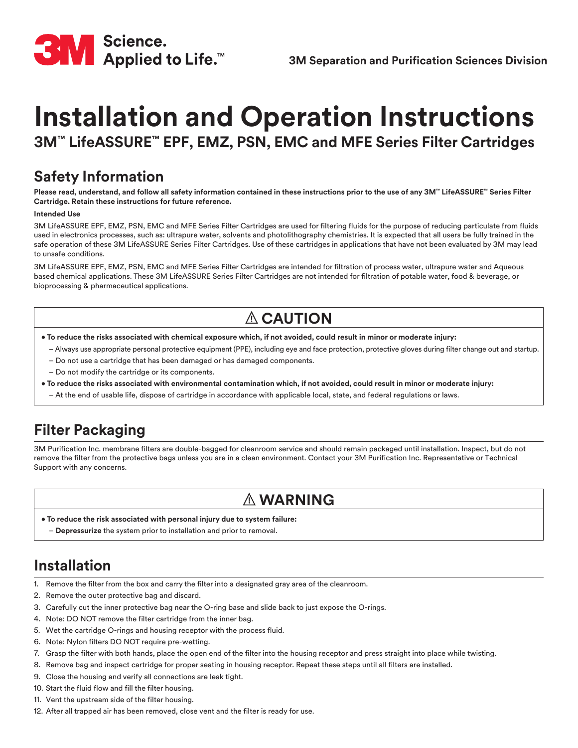

# **Installation and Operation Instructions**

**3M™ LifeASSURE™ EPF, EMZ, PSN, EMC and MFE Series Filter Cartridges**

### **Safety Information**

**Please read, understand, and follow all safety information contained in these instructions prior to the use of any 3M™ LifeASSURE™ Series Filter Cartridge. Retain these instructions for future reference.**

#### **Intended Use**

3M LifeASSURE EPF, EMZ, PSN, EMC and MFE Series Filter Cartridges are used for filtering fluids for the purpose of reducing particulate from fluids used in electronics processes, such as: ultrapure water, solvents and photolithography chemistries. It is expected that all users be fully trained in the safe operation of these 3M LifeASSURE Series Filter Cartridges. Use of these cartridges in applications that have not been evaluated by 3M may lead to unsafe conditions.

3M LifeASSURE EPF, EMZ, PSN, EMC and MFE Series Filter Cartridges are intended for filtration of process water, ultrapure water and Aqueous based chemical applications. These 3M LifeASSURE Series Filter Cartridges are not intended for filtration of potable water, food & beverage, or bioprocessing & pharmaceutical applications.

# **CAUTION**

- **To reduce the risks associated with chemical exposure which, if not avoided, could result in minor or moderate injury:**
	- Always use appropriate personal protective equipment (PPE), including eye and face protection, protective gloves during filter change out and startup.
	- Do not use a cartridge that has been damaged or has damaged components.
	- Do not modify the cartridge or its components.
- **To reduce the risks associated with environmental contamination which, if not avoided, could result in minor or moderate injury:**
	- At the end of usable life, dispose of cartridge in accordance with applicable local, state, and federal regulations or laws.

## **Filter Packaging**

3M Purification Inc. membrane filters are double-bagged for cleanroom service and should remain packaged until installation. Inspect, but do not remove the filter from the protective bags unless you are in a clean environment. Contact your 3M Purification Inc. Representative or Technical Support with any concerns.

## **WARNING**

- **To reduce the risk associated with personal injury due to system failure:**
	- **Depressurize** the system prior to installation and prior to removal.

## **Installation**

- 1. Remove the filter from the box and carry the filter into a designated gray area of the cleanroom.
- 2. Remove the outer protective bag and discard.
- 3. Carefully cut the inner protective bag near the O-ring base and slide back to just expose the O-rings.
- 4. Note: DO NOT remove the filter cartridge from the inner bag.
- 5. Wet the cartridge O-rings and housing receptor with the process fluid.
- 6. Note: Nylon filters DO NOT require pre-wetting.
- 7. Grasp the filter with both hands, place the open end of the filter into the housing receptor and press straight into place while twisting.
- 8. Remove bag and inspect cartridge for proper seating in housing receptor. Repeat these steps until all filters are installed.
- 9. Close the housing and verify all connections are leak tight.
- 10. Start the fluid flow and fill the filter housing.
- 11. Vent the upstream side of the filter housing.
- 12. After all trapped air has been removed, close vent and the filter is ready for use.